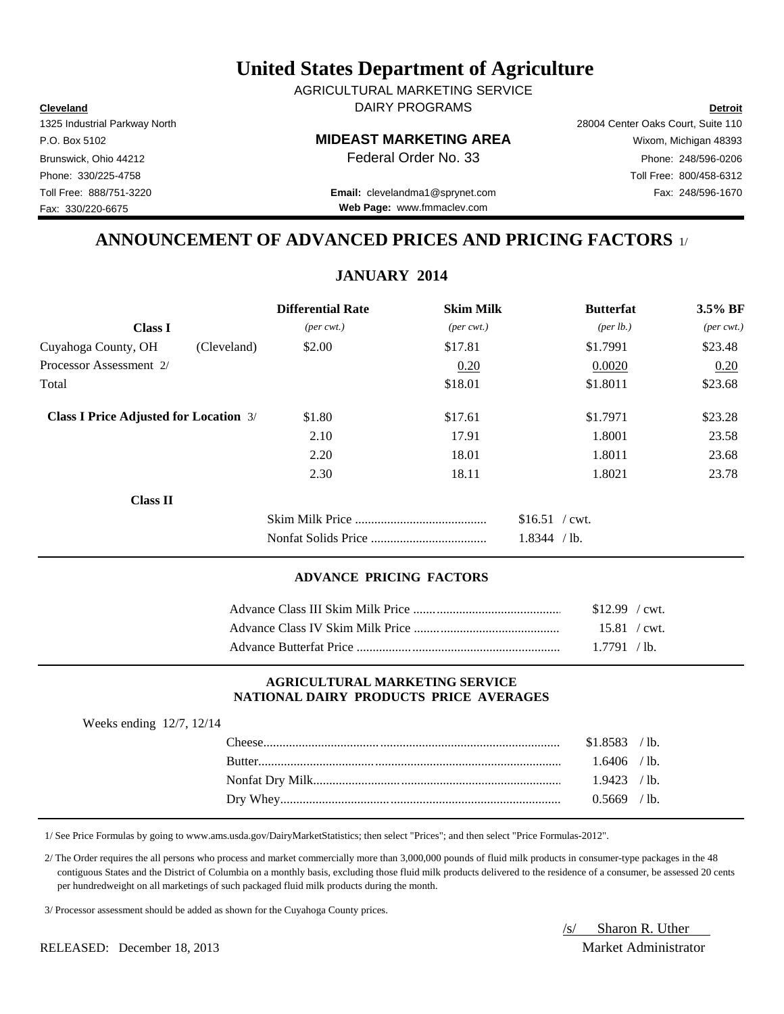**Cleveland Detroit** DAIRY PROGRAMS AGRICULTURAL MARKETING SERVICE

### P.O. Box 5102 **MIDEAST MARKETING AREA** Wixom, Michigan 48393

Brunswick, Ohio 44212 **Phone: 248/596-0206 Federal Order No. 33** Phone: 248/596-0206 Phone: 330/225-4758 Toll Free: 800/458-6312

Toll Free: 888/751-3220 Fax: 248/596-1670 **Email:** clevelandma1@sprynet.com **Web Page:** www.fmmaclev.com

# **ANNOUNCEMENT OF ADVANCED PRICES AND PRICING FACTORS** 1/

**JANUARY 2014**

|                                               |             | <b>Differential Rate</b>    | <b>Skim Milk</b>            | <b>Butterfat</b>     | $3.5\%$ BF                  |
|-----------------------------------------------|-------------|-----------------------------|-----------------------------|----------------------|-----------------------------|
| <b>Class I</b>                                |             | $(\text{per} \text{ cwt.})$ | $(\text{per} \text{ cwt.})$ | ${\rm (per \, lb.)}$ | $(\text{per} \text{ cwt.})$ |
| Cuyahoga County, OH                           | (Cleveland) | \$2.00                      | \$17.81                     | \$1.7991             | \$23.48                     |
| Processor Assessment 2/                       |             |                             | 0.20                        | 0.0020               | 0.20                        |
| Total                                         |             |                             | \$18.01                     | \$1.8011             | \$23.68                     |
| <b>Class I Price Adjusted for Location 3/</b> |             | \$1.80                      | \$17.61                     | \$1.7971             | \$23.28                     |
|                                               |             | 2.10                        | 17.91                       | 1.8001               | 23.58                       |
|                                               |             | 2.20                        | 18.01                       | 1.8011               | 23.68                       |
|                                               |             | 2.30                        | 18.11                       | 1.8021               | 23.78                       |
| <b>Class II</b>                               |             |                             |                             |                      |                             |
|                                               |             |                             |                             | $$16.51$ / cwt.      |                             |
|                                               |             |                             |                             | 1.8344 / lb.         |                             |

### **ADVANCE PRICING FACTORS**

| $$12.99$ / cwt.      |  |
|----------------------|--|
| $15.81 / \text{cwt}$ |  |
| 1.7791 / lb.         |  |

### **AGRICULTURAL MARKETING SERVICE NATIONAL DAIRY PRODUCTS PRICE AVERAGES**

| Weeks ending $12/7$ , $12/14$ |                |  |
|-------------------------------|----------------|--|
|                               | $$1.8583$ /lb. |  |
|                               | $1.6406$ /lb.  |  |
|                               | $1.9423$ /lb.  |  |
|                               | $0.5669$ /lb.  |  |
|                               |                |  |

1/ See Price Formulas by going to www.ams.usda.gov/DairyMarketStatistics; then select "Prices"; and then select "Price Formulas-2012".

 2/ The Order requires the all persons who process and market commercially more than 3,000,000 pounds of fluid milk products in consumer-type packages in the 48 contiguous States and the District of Columbia on a monthly basis, excluding those fluid milk products delivered to the residence of a consumer, be assessed 20 cents per hundredweight on all marketings of such packaged fluid milk products during the month.

3/ Processor assessment should be added as shown for the Cuyahoga County prices.

RELEASED: December 18, 2013 Market Administrator

# /s/ Sharon R. Uther

1325 Industrial Parkway North 28004 Center Oaks Court, Suite 110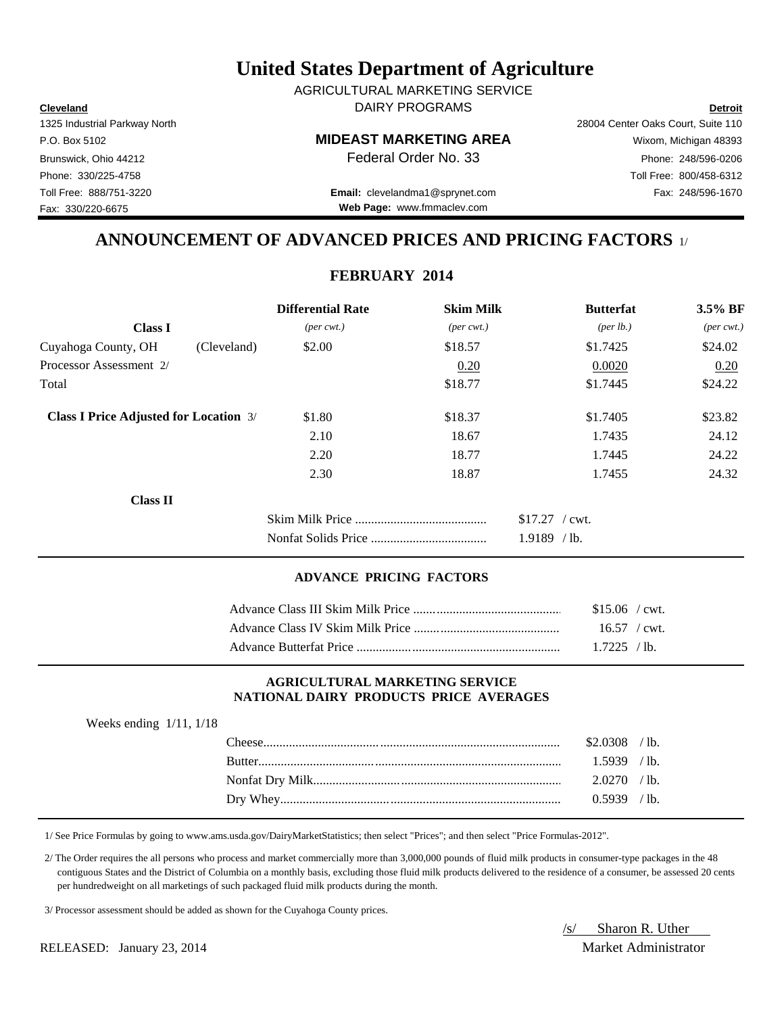**Cleveland Detroit** DAIRY PROGRAMS AGRICULTURAL MARKETING SERVICE

### P.O. Box 5102 **MIDEAST MARKETING AREA** Wixom, Michigan 48393

Brunswick, Ohio 44212 **Phone: 248/596-0206 Federal Order No. 33** Phone: 248/596-0206 Phone: 330/225-4758 Toll Free: 800/458-6312

Toll Free: 888/751-3220 Fax: 248/596-1670 **Email:** clevelandma1@sprynet.com **Web Page:** www.fmmaclev.com

# **ANNOUNCEMENT OF ADVANCED PRICES AND PRICING FACTORS** 1/

### **FEBRUARY 2014**

|                                               |             | <b>Differential Rate</b>    | <b>Skim Milk</b>            | <b>Butterfat</b>                 | $3.5\%$ BF                  |
|-----------------------------------------------|-------------|-----------------------------|-----------------------------|----------------------------------|-----------------------------|
| <b>Class I</b>                                |             | $(\text{per} \text{ cwt.})$ | $(\text{per} \text{ cwt.})$ | ${\rm (per \, lb.)}$             | $(\text{per} \text{ cwt.})$ |
| Cuyahoga County, OH                           | (Cleveland) | \$2.00                      | \$18.57                     | \$1.7425                         | \$24.02                     |
| Processor Assessment 2/                       |             |                             | 0.20                        | 0.0020                           | 0.20                        |
| Total                                         |             |                             | \$18.77                     | \$1.7445                         | \$24.22                     |
| <b>Class I Price Adjusted for Location 3/</b> |             | \$1.80                      | \$18.37                     | \$1.7405                         | \$23.82                     |
|                                               |             | 2.10                        | 18.67                       | 1.7435                           | 24.12                       |
|                                               |             | 2.20                        | 18.77                       | 1.7445                           | 24.22                       |
|                                               |             | 2.30                        | 18.87                       | 1.7455                           | 24.32                       |
| <b>Class II</b>                               |             |                             |                             |                                  |                             |
|                                               |             |                             |                             | $$17.27$ / cwt.<br>$1.9189$ /lb. |                             |

### **ADVANCE PRICING FACTORS**

| $$15.06$ / cwt. |
|-----------------|
| $16.57$ / cwt.  |
| $1.7225$ /lb.   |

### **AGRICULTURAL MARKETING SERVICE NATIONAL DAIRY PRODUCTS PRICE AVERAGES**

| Weeks ending $1/11$ , $1/18$ |                |  |
|------------------------------|----------------|--|
|                              | $$2.0308$ /lb. |  |
|                              | $1.5939$ /lb.  |  |
|                              | $2.0270$ /lb.  |  |
|                              | $0.5939$ /lb.  |  |
|                              |                |  |

1/ See Price Formulas by going to www.ams.usda.gov/DairyMarketStatistics; then select "Prices"; and then select "Price Formulas-2012".

 2/ The Order requires the all persons who process and market commercially more than 3,000,000 pounds of fluid milk products in consumer-type packages in the 48 contiguous States and the District of Columbia on a monthly basis, excluding those fluid milk products delivered to the residence of a consumer, be assessed 20 cents per hundredweight on all marketings of such packaged fluid milk products during the month.

3/ Processor assessment should be added as shown for the Cuyahoga County prices.

/s/ Sharon R. Uther

RELEASED: January 23, 2014 Market Administrator

1325 Industrial Parkway North 28004 Center Oaks Court, Suite 110 Fax: 330/220-6675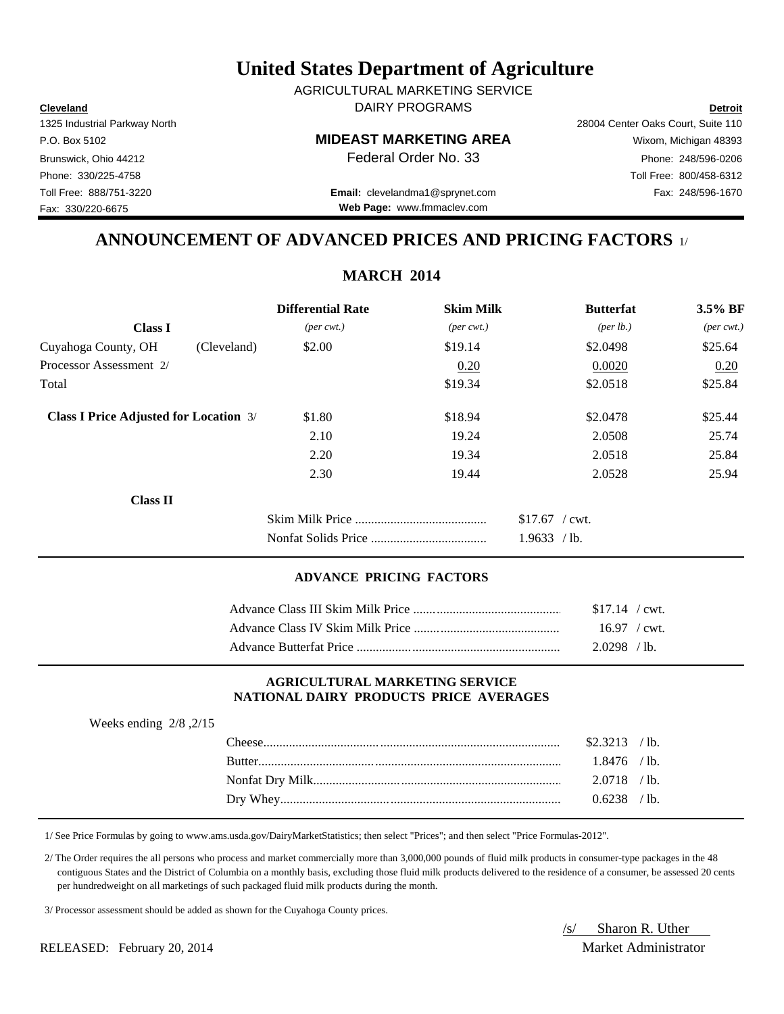**Cleveland Detroit** DAIRY PROGRAMS AGRICULTURAL MARKETING SERVICE

### P.O. Box 5102 **MIDEAST MARKETING AREA** Wixom, Michigan 48393

Toll Free: 888/751-3220 Fax: 248/596-1670 **Email:** clevelandma1@sprynet.com **Web Page:** www.fmmaclev.com

1325 Industrial Parkway North 28004 Center Oaks Court, Suite 110 Brunswick, Ohio 44212 **Phone: 248/596-0206 Federal Order No. 33** Phone: 248/596-0206 Phone: 330/225-4758 Toll Free: 800/458-6312

**ANNOUNCEMENT OF ADVANCED PRICES AND PRICING FACTORS** 1/

|                                               |             | <b>Differential Rate</b>    | <b>Skim Milk</b>            | <b>Butterfat</b>                | 3.5% BF                     |
|-----------------------------------------------|-------------|-----------------------------|-----------------------------|---------------------------------|-----------------------------|
| <b>Class I</b>                                |             | $(\text{per} \text{ cwt.})$ | $(\text{per} \text{ cwt.})$ | ${\rm (per \, lb.)}$            | $(\text{per} \text{ cwt.})$ |
| Cuyahoga County, OH                           | (Cleveland) | \$2.00                      | \$19.14                     | \$2.0498                        | \$25.64                     |
| Processor Assessment 2/                       |             |                             | 0.20                        | 0.0020                          | 0.20                        |
| Total                                         |             |                             | \$19.34                     | \$2.0518                        | \$25.84                     |
| <b>Class I Price Adjusted for Location 3/</b> |             | \$1.80                      | \$18.94                     | \$2,0478                        | \$25.44                     |
|                                               |             | 2.10                        | 19.24                       | 2.0508                          | 25.74                       |
|                                               |             | 2.20                        | 19.34                       | 2.0518                          | 25.84                       |
|                                               |             | 2.30                        | 19.44                       | 2.0528                          | 25.94                       |
| Class II                                      |             |                             |                             |                                 |                             |
|                                               |             |                             |                             | $$17.67$ / cwt.<br>1.9633 / lb. |                             |

### **ADVANCE PRICING FACTORS**

| $$17.14$ / cwt.        |  |
|------------------------|--|
| $16.97 / \text{cwt}$ . |  |
| $2.0298$ /lb.          |  |

### **AGRICULTURAL MARKETING SERVICE NATIONAL DAIRY PRODUCTS PRICE AVERAGES**

| Weeks ending $2/8$ , $2/15$ |                |  |
|-----------------------------|----------------|--|
|                             | $$2.3213$ /lb. |  |
|                             | $1.8476$ /lb.  |  |
|                             | $2.0718$ /lb.  |  |
|                             | $0.6238$ /lb.  |  |
|                             |                |  |

1/ See Price Formulas by going to www.ams.usda.gov/DairyMarketStatistics; then select "Prices"; and then select "Price Formulas-2012".

 2/ The Order requires the all persons who process and market commercially more than 3,000,000 pounds of fluid milk products in consumer-type packages in the 48 contiguous States and the District of Columbia on a monthly basis, excluding those fluid milk products delivered to the residence of a consumer, be assessed 20 cents per hundredweight on all marketings of such packaged fluid milk products during the month.

3/ Processor assessment should be added as shown for the Cuyahoga County prices.

RELEASED: February 20, 2014 Market Administrator

/s/ Sharon R. Uther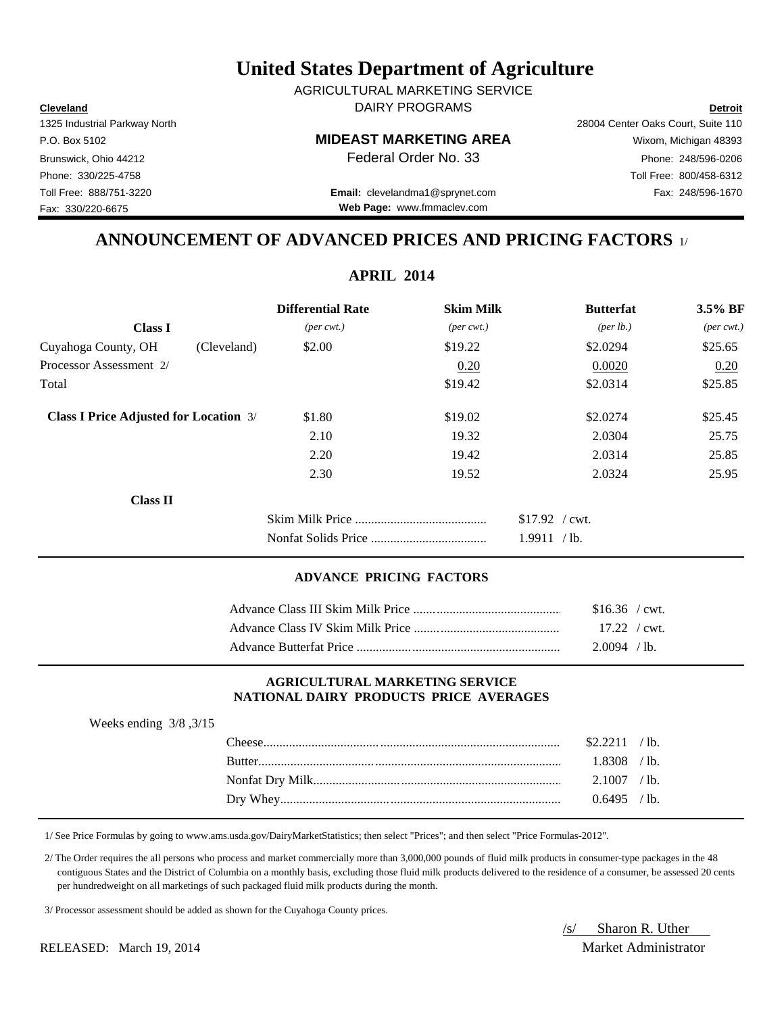**Cleveland Detroit** DAIRY PROGRAMS AGRICULTURAL MARKETING SERVICE

### P.O. Box 5102 **MIDEAST MARKETING AREA** Wixom, Michigan 48393

Toll Free: 888/751-3220 Fax: 248/596-1670 **Email:** clevelandma1@sprynet.com **Web Page:** www.fmmaclev.com

1325 Industrial Parkway North 28004 Center Oaks Court, Suite 110 Brunswick, Ohio 44212 **Phone: 248/596-0206 Federal Order No. 33** Phone: 248/596-0206 Phone: 330/225-4758 Toll Free: 800/458-6312

**ANNOUNCEMENT OF ADVANCED PRICES AND PRICING FACTORS** 1/

**APRIL 2014**

| <b>Differential Rate</b>    |                                                              | <b>Butterfat</b>     | 3.5% BF                     |
|-----------------------------|--------------------------------------------------------------|----------------------|-----------------------------|
| $(\text{per} \text{ cwt.})$ | $(\text{per} \text{ cwt.})$                                  | ${\rm (per \, lb.)}$ | $(\text{per} \text{ cwt.})$ |
| \$2.00                      | \$19.22                                                      | \$2.0294             | \$25.65                     |
|                             | 0.20                                                         | 0.0020               | 0.20                        |
|                             | \$19.42                                                      | \$2.0314             | \$25.85                     |
| \$1.80                      | \$19.02                                                      | \$2.0274             | \$25.45                     |
| 2.10                        | 19.32                                                        | 2.0304               | 25.75                       |
| 2.20                        | 19.42                                                        | 2.0314               | 25.85                       |
| 2.30                        | 19.52                                                        | 2.0324               | 25.95                       |
|                             |                                                              |                      |                             |
|                             |                                                              | $$17.92$ / cwt.      |                             |
|                             |                                                              | 1.9911 / lb.         |                             |
|                             | (Cleveland)<br><b>Class I Price Adjusted for Location 3/</b> | 111 IVII 2017        | <b>Skim Milk</b>            |

### **ADVANCE PRICING FACTORS**

| $$16.36$ / cwt.        |  |
|------------------------|--|
| $17.22 / \text{cwt}$ . |  |
| $2.0094$ / lb.         |  |

### **AGRICULTURAL MARKETING SERVICE NATIONAL DAIRY PRODUCTS PRICE AVERAGES**

| ັ |               |               |                 |
|---|---------------|---------------|-----------------|
|   |               | \$2211        | $^{\prime}$ lb. |
|   | <b>Butter</b> | $1.8308$ /lb. |                 |
|   |               | $2.1007$ /lb. |                 |
|   |               | $0.6495$ /lb. |                 |
|   |               |               |                 |

1/ See Price Formulas by going to www.ams.usda.gov/DairyMarketStatistics; then select "Prices"; and then select "Price Formulas-2012".

 2/ The Order requires the all persons who process and market commercially more than 3,000,000 pounds of fluid milk products in consumer-type packages in the 48 contiguous States and the District of Columbia on a monthly basis, excluding those fluid milk products delivered to the residence of a consumer, be assessed 20 cents per hundredweight on all marketings of such packaged fluid milk products during the month.

3/ Processor assessment should be added as shown for the Cuyahoga County prices.

RELEASED: March 19, 2014 Market Administrator

Weeks ending 3/8 ,3/15

/s/ Sharon R. Uther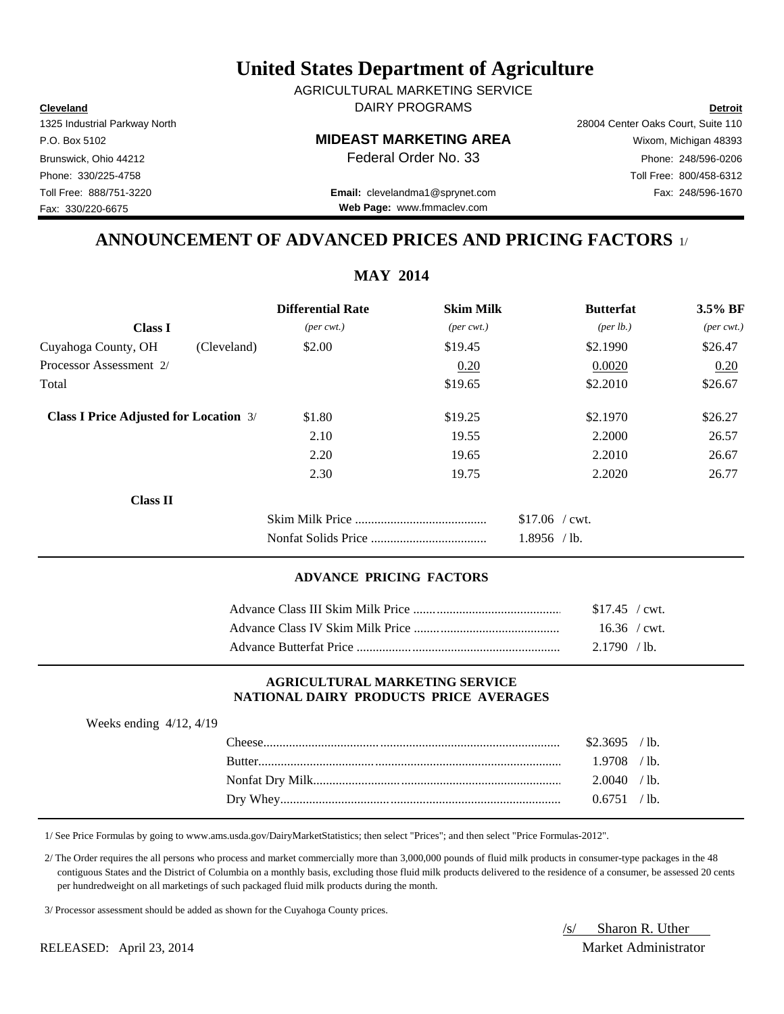**Cleveland Detroit** DAIRY PROGRAMS AGRICULTURAL MARKETING SERVICE

### P.O. Box 5102 **MIDEAST MARKETING AREA** Wixom, Michigan 48393

Toll Free: 888/751-3220 Fax: 248/596-1670 **Email:** clevelandma1@sprynet.com **Web Page:** www.fmmaclev.com

1325 Industrial Parkway North 28004 Center Oaks Court, Suite 110 Brunswick, Ohio 44212 **Phone: 248/596-0206 Federal Order No. 33** Phone: 248/596-0206 Phone: 330/225-4758 Toll Free: 800/458-6312

**ANNOUNCEMENT OF ADVANCED PRICES AND PRICING FACTORS** 1/

| <b>Differential Rate</b>    |                             | <b>Butterfat</b>     | $3.5\%$ BF                  |
|-----------------------------|-----------------------------|----------------------|-----------------------------|
| $(\text{per} \text{ cwt.})$ | $(\text{per} \text{ cwt.})$ | ${\rm (per \, lb.)}$ | $(\text{per} \text{ cwt.})$ |
| \$2.00                      | \$19.45                     | \$2.1990             | \$26.47                     |
|                             | 0.20                        | 0.0020               | 0.20                        |
|                             | \$19.65                     | \$2.2010             | \$26.67                     |
| \$1.80                      | \$19.25                     | \$2.1970             | \$26.27                     |
| 2.10                        | 19.55                       | 2.2000               | 26.57                       |
| 2.20                        | 19.65                       | 2.2010               | 26.67                       |
| 2.30                        | 19.75                       | 2.2020               | 26.77                       |
|                             |                             |                      |                             |
|                             |                             | $$17.06$ / cwt.      |                             |
|                             |                             | $1.8956$ /lb.        |                             |
|                             |                             |                      | <b>Skim Milk</b>            |

### **ADVANCE PRICING FACTORS**

| $$17.45$ / cwt. |
|-----------------|
| $16.36$ / cwt.  |
| $2.1790$ /lb.   |

### **AGRICULTURAL MARKETING SERVICE NATIONAL DAIRY PRODUCTS PRICE AVERAGES**

| Weeks ending $4/12$ , $4/19$ |                |  |
|------------------------------|----------------|--|
|                              | $$2.3695$ /lb. |  |
|                              | $1.9708$ /lb.  |  |
|                              | 2.0040 / lb.   |  |
|                              | 0.6751 / lb.   |  |
|                              |                |  |

1/ See Price Formulas by going to www.ams.usda.gov/DairyMarketStatistics; then select "Prices"; and then select "Price Formulas-2012".

 2/ The Order requires the all persons who process and market commercially more than 3,000,000 pounds of fluid milk products in consumer-type packages in the 48 contiguous States and the District of Columbia on a monthly basis, excluding those fluid milk products delivered to the residence of a consumer, be assessed 20 cents per hundredweight on all marketings of such packaged fluid milk products during the month.

3/ Processor assessment should be added as shown for the Cuyahoga County prices.

/s/ Sharon R. Uther RELEASED: April 23, 2014 Market Administrator

### **MAY 2014**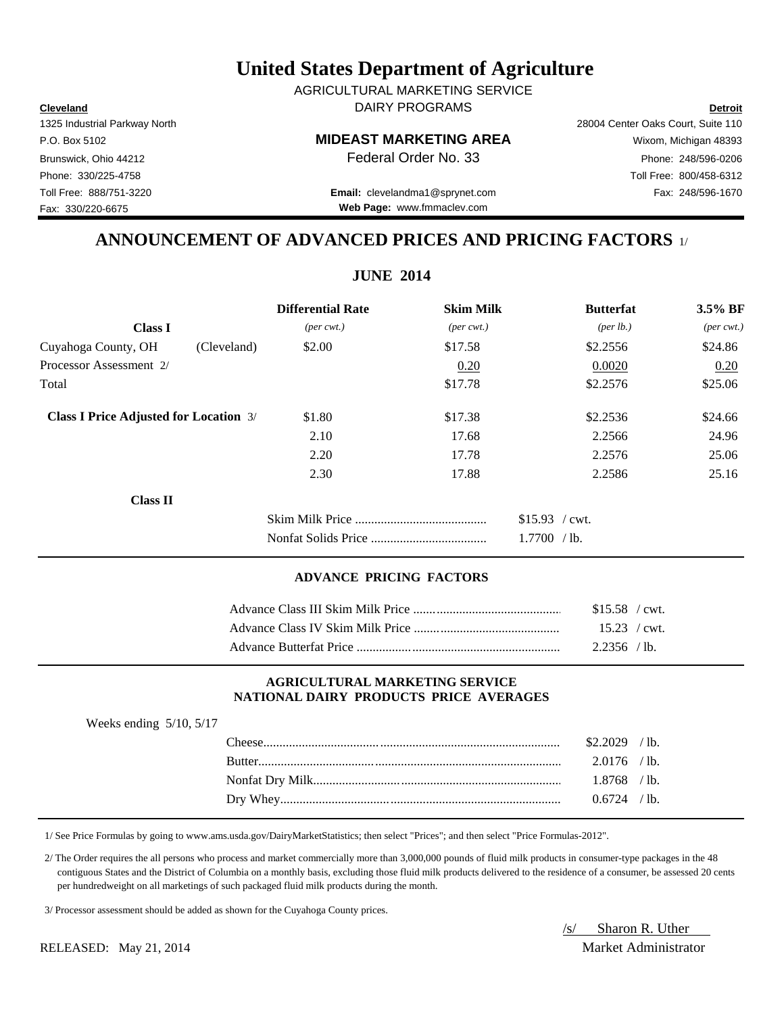**Cleveland Detroit** DAIRY PROGRAMS AGRICULTURAL MARKETING SERVICE

### P.O. Box 5102 **MIDEAST MARKETING AREA** Wixom, Michigan 48393

Toll Free: 888/751-3220 Fax: 248/596-1670 **Email:** clevelandma1@sprynet.com **Web Page:** www.fmmaclev.com

1325 Industrial Parkway North 28004 Center Oaks Court, Suite 110 Brunswick, Ohio 44212 **Phone: 248/596-0206 Federal Order No. 33** Phone: 248/596-0206 Phone: 330/225-4758 Toll Free: 800/458-6312

# **ANNOUNCEMENT OF ADVANCED PRICES AND PRICING FACTORS** 1/

|                                               |             | <b>Differential Rate</b>    | <b>Skim Milk</b>            | <b>Butterfat</b>     | 3.5% BF                     |
|-----------------------------------------------|-------------|-----------------------------|-----------------------------|----------------------|-----------------------------|
| <b>Class I</b>                                |             | $(\text{per} \text{ cwt.})$ | $(\text{per} \text{ cwt.})$ | ${\rm (per \, lb.)}$ | $(\text{per} \text{ cwt.})$ |
| Cuyahoga County, OH                           | (Cleveland) | \$2.00                      | \$17.58                     | \$2.2556             | \$24.86                     |
| Processor Assessment 2/                       |             |                             | 0.20                        | 0.0020               | 0.20                        |
| Total                                         |             |                             | \$17.78                     | \$2.2576             | \$25.06                     |
| <b>Class I Price Adjusted for Location 3/</b> |             | \$1.80                      | \$17.38                     | \$2.2536             | \$24.66                     |
|                                               |             | 2.10                        | 17.68                       | 2.2566               | 24.96                       |
|                                               |             | 2.20                        | 17.78                       | 2.2576               | 25.06                       |
|                                               |             | 2.30                        | 17.88                       | 2.2586               | 25.16                       |
| <b>Class II</b>                               |             |                             |                             |                      |                             |
|                                               |             |                             |                             | $$15.93$ / cwt.      |                             |
|                                               |             |                             |                             | 1.7700 / lb.         |                             |
|                                               |             |                             |                             |                      |                             |

### **ADVANCE PRICING FACTORS**

| $$15.58$ / cwt. |  |
|-----------------|--|
| $15.23$ / cwt.  |  |
| $2.2356$ /lb.   |  |

### **AGRICULTURAL MARKETING SERVICE NATIONAL DAIRY PRODUCTS PRICE AVERAGES**

| Weeks ending $5/10$ , $5/17$ |                |  |
|------------------------------|----------------|--|
|                              | $$2.2029$ /lb. |  |
|                              | $2.0176$ /lb.  |  |
|                              | $1.8768$ /lb.  |  |
|                              | $0.6724$ /lb.  |  |
|                              |                |  |

1/ See Price Formulas by going to www.ams.usda.gov/DairyMarketStatistics; then select "Prices"; and then select "Price Formulas-2012".

 2/ The Order requires the all persons who process and market commercially more than 3,000,000 pounds of fluid milk products in consumer-type packages in the 48 contiguous States and the District of Columbia on a monthly basis, excluding those fluid milk products delivered to the residence of a consumer, be assessed 20 cents per hundredweight on all marketings of such packaged fluid milk products during the month.

3/ Processor assessment should be added as shown for the Cuyahoga County prices.

/s/ Sharon R. Uther RELEASED: May 21, 2014 Market Administrator

Fax: 330/220-6675

**JUNE 2014**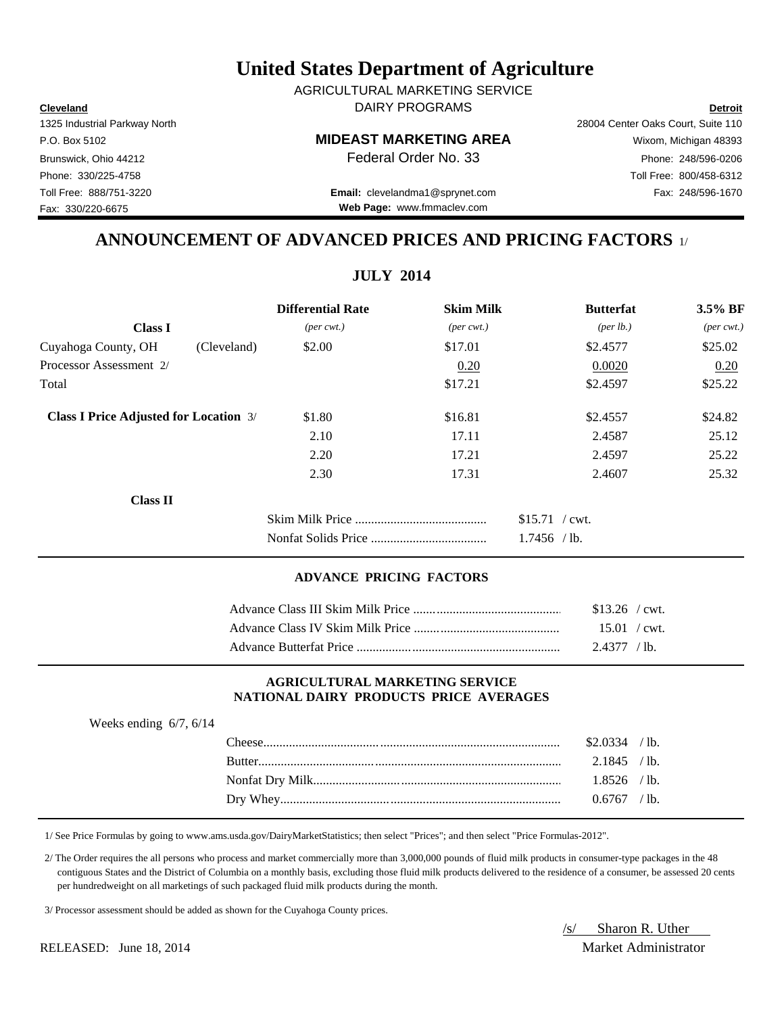**Cleveland Detroit** DAIRY PROGRAMS AGRICULTURAL MARKETING SERVICE

### P.O. Box 5102 **MIDEAST MARKETING AREA** Wixom, Michigan 48393

Toll Free: 888/751-3220 Fax: 248/596-1670 **Email:** clevelandma1@sprynet.com **Web Page:** www.fmmaclev.com

# **ANNOUNCEMENT OF ADVANCED PRICES AND PRICING FACTORS** 1/

**JULY 2014**

|                             |                             | <b>Butterfat</b>     | 3.5% BF                     |
|-----------------------------|-----------------------------|----------------------|-----------------------------|
| $(\text{per} \text{ cwt.})$ | $(\text{per} \text{ cwt.})$ | ${\rm (per \, lb.)}$ | $(\text{per} \text{ cwt.})$ |
| \$2.00                      | \$17.01                     | \$2.4577             | \$25.02                     |
|                             | 0.20                        | 0.0020               | 0.20                        |
|                             | \$17.21                     | \$2.4597             | \$25.22                     |
| \$1.80                      | \$16.81                     | \$2.4557             | \$24.82                     |
| 2.10                        | 17.11                       | 2.4587               | 25.12                       |
| 2.20                        | 17.21                       | 2.4597               | 25.22                       |
| 2.30                        | 17.31                       | 2.4607               | 25.32                       |
|                             |                             |                      |                             |
|                             |                             | $$15.71$ / cwt.      |                             |
|                             |                             | $1.7456$ /lb.        |                             |
|                             | <b>Differential Rate</b>    |                      | <b>Skim Milk</b>            |

### **ADVANCE PRICING FACTORS**

| $$13.26$ / cwt.        |  |
|------------------------|--|
| $15.01 / \text{cwt}$ . |  |
| 2.4377 / lb.           |  |

### **AGRICULTURAL MARKETING SERVICE NATIONAL DAIRY PRODUCTS PRICE AVERAGES**

| Weeks ending $6/7$ , $6/14$ |                |  |
|-----------------------------|----------------|--|
|                             | $$2.0334$ /lb. |  |
|                             | $2.1845$ /lb.  |  |
|                             | $1.8526$ /lb.  |  |
|                             | $0.6767$ /lb.  |  |
|                             |                |  |

1/ See Price Formulas by going to www.ams.usda.gov/DairyMarketStatistics; then select "Prices"; and then select "Price Formulas-2012".

 2/ The Order requires the all persons who process and market commercially more than 3,000,000 pounds of fluid milk products in consumer-type packages in the 48 contiguous States and the District of Columbia on a monthly basis, excluding those fluid milk products delivered to the residence of a consumer, be assessed 20 cents per hundredweight on all marketings of such packaged fluid milk products during the month.

3/ Processor assessment should be added as shown for the Cuyahoga County prices.

/s/ Sharon R. Uther RELEASED: June 18, 2014 Market Administrator

1325 Industrial Parkway North 28004 Center Oaks Court, Suite 110 Brunswick, Ohio 44212 **Phone: 248/596-0206 Federal Order No. 33** Phone: 248/596-0206 Phone: 330/225-4758 Toll Free: 800/458-6312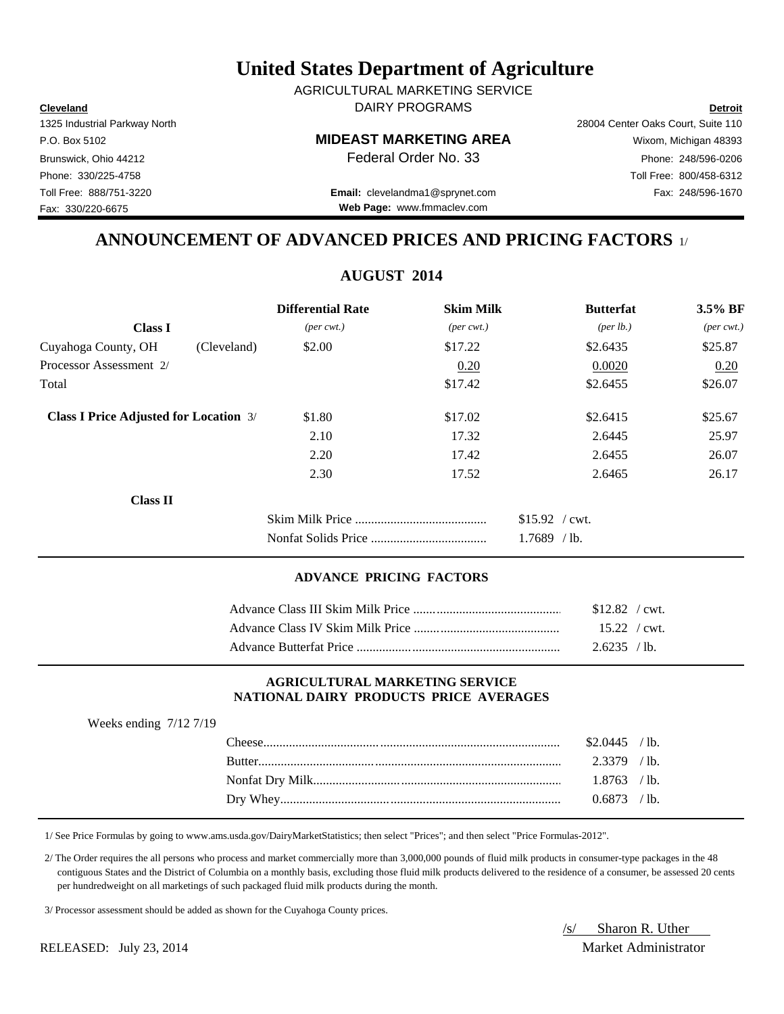**Cleveland Detroit** DAIRY PROGRAMS AGRICULTURAL MARKETING SERVICE

### P.O. Box 5102 **MIDEAST MARKETING AREA** Wixom, Michigan 48393

Brunswick, Ohio 44212 **Phone: 248/596-0206 Federal Order No. 33** Phone: 248/596-0206 Phone: 330/225-4758 Toll Free: 800/458-6312

Toll Free: 888/751-3220 Fax: 248/596-1670 **Email:** clevelandma1@sprynet.com **Web Page:** www.fmmaclev.com

# **ANNOUNCEMENT OF ADVANCED PRICES AND PRICING FACTORS** 1/

**AUGUST 2014**

|                                               |             | <b>Differential Rate</b>    | <b>Skim Milk</b>            | <b>Butterfat</b>     | 3.5% BF                     |
|-----------------------------------------------|-------------|-----------------------------|-----------------------------|----------------------|-----------------------------|
| <b>Class I</b>                                |             | $(\text{per} \text{ cwt.})$ | $(\text{per} \text{ cwt.})$ | ${\rm (per \, lb.)}$ | $(\text{per} \text{ cwt.})$ |
| Cuyahoga County, OH                           | (Cleveland) | \$2.00                      | \$17.22                     | \$2.6435             | \$25.87                     |
| Processor Assessment 2/                       |             |                             | 0.20                        | 0.0020               | 0.20                        |
| Total                                         |             |                             | \$17.42                     | \$2.6455             | \$26.07                     |
| <b>Class I Price Adjusted for Location 3/</b> |             | \$1.80                      | \$17.02                     | \$2.6415             | \$25.67                     |
|                                               |             | 2.10                        | 17.32                       | 2.6445               | 25.97                       |
|                                               |             | 2.20                        | 17.42                       | 2.6455               | 26.07                       |
|                                               |             | 2.30                        | 17.52                       | 2.6465               | 26.17                       |
| <b>Class II</b>                               |             |                             |                             |                      |                             |
|                                               |             |                             |                             | $$15.92$ / cwt.      |                             |
|                                               |             |                             |                             | $1.7689$ /lb.        |                             |

### **ADVANCE PRICING FACTORS**

| $$12.82$ / cwt.        |  |
|------------------------|--|
| $15.22 / \text{cwt}$ . |  |
| 2.6235 / lb.           |  |

### **AGRICULTURAL MARKETING SERVICE NATIONAL DAIRY PRODUCTS PRICE AVERAGES**

| Weeks ending $7/12$ $7/19$ |                |  |
|----------------------------|----------------|--|
|                            | $$2.0445$ /lb. |  |
|                            | $2.3379$ /lb.  |  |
|                            | $1.8763$ /lb.  |  |
|                            | $0.6873$ /lb.  |  |
|                            |                |  |

1/ See Price Formulas by going to www.ams.usda.gov/DairyMarketStatistics; then select "Prices"; and then select "Price Formulas-2012".

 2/ The Order requires the all persons who process and market commercially more than 3,000,000 pounds of fluid milk products in consumer-type packages in the 48 contiguous States and the District of Columbia on a monthly basis, excluding those fluid milk products delivered to the residence of a consumer, be assessed 20 cents per hundredweight on all marketings of such packaged fluid milk products during the month.

3/ Processor assessment should be added as shown for the Cuyahoga County prices.

/s/ Sharon R. Uther RELEASED: July 23, 2014 Market Administrator

Fax: 330/220-6675

1325 Industrial Parkway North 28004 Center Oaks Court, Suite 110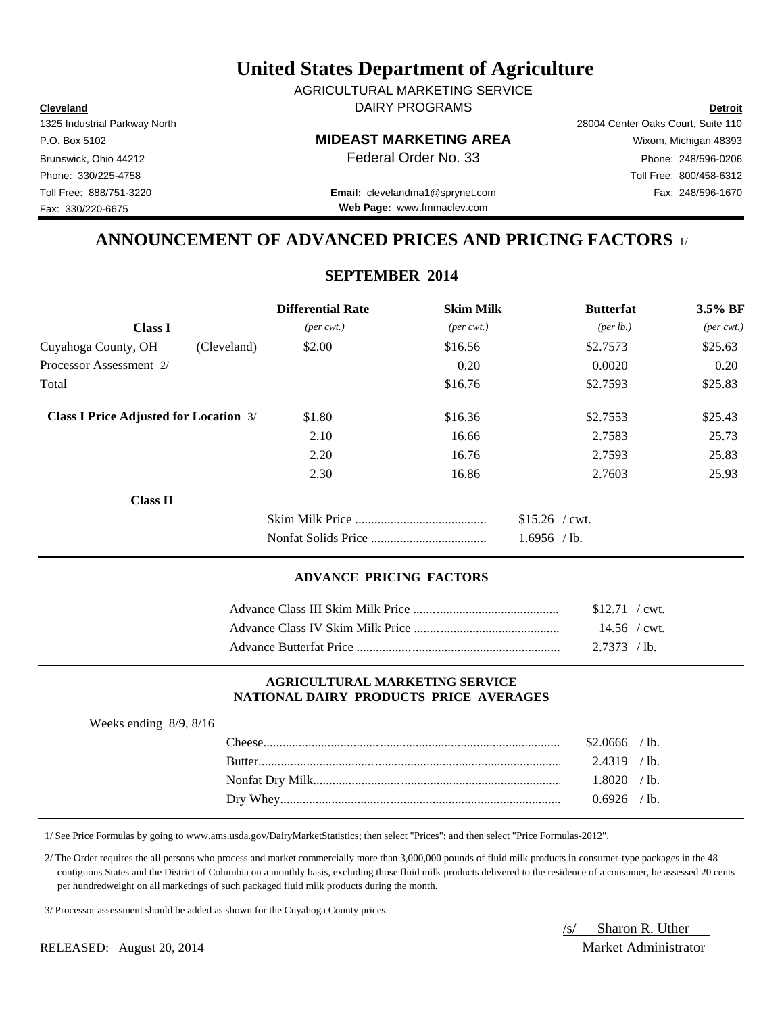**Cleveland Detroit** DAIRY PROGRAMS AGRICULTURAL MARKETING SERVICE

### P.O. Box 5102 **MIDEAST MARKETING AREA** Wixom, Michigan 48393

Toll Free: 888/751-3220 Fax: 248/596-1670 **Email:** clevelandma1@sprynet.com **Web Page:** www.fmmaclev.com

1325 Industrial Parkway North 28004 Center Oaks Court, Suite 110 Brunswick, Ohio 44212 **Phone: 248/596-0206 Federal Order No. 33** Phone: 248/596-0206 Phone: 330/225-4758 Toll Free: 800/458-6312

**ANNOUNCEMENT OF ADVANCED PRICES AND PRICING FACTORS** 1/

### **SEPTEMBER 2014**

|                                               |             | <b>Differential Rate</b>    | <b>Skim Milk</b>            | <b>Butterfat</b>                 | $3.5\%$ BF                  |
|-----------------------------------------------|-------------|-----------------------------|-----------------------------|----------------------------------|-----------------------------|
| <b>Class I</b>                                |             | $(\text{per} \text{ cwt.})$ | $(\text{per} \text{ cwt.})$ | ${\rm (per \, lb.)}$             | $(\text{per} \text{ cwt.})$ |
| Cuyahoga County, OH                           | (Cleveland) | \$2.00                      | \$16.56                     | \$2.7573                         | \$25.63                     |
| Processor Assessment 2/                       |             |                             | 0.20                        | 0.0020                           | 0.20                        |
| Total                                         |             |                             | \$16.76                     | \$2.7593                         | \$25.83                     |
| <b>Class I Price Adjusted for Location 3/</b> |             | \$1.80                      | \$16.36                     | \$2.7553                         | \$25.43                     |
|                                               |             | 2.10                        | 16.66                       | 2.7583                           | 25.73                       |
|                                               |             | 2.20                        | 16.76                       | 2.7593                           | 25.83                       |
|                                               |             | 2.30                        | 16.86                       | 2.7603                           | 25.93                       |
| <b>Class II</b>                               |             |                             |                             |                                  |                             |
|                                               |             |                             |                             | $$15.26$ / cwt.<br>$1.6956$ /lb. |                             |

### **ADVANCE PRICING FACTORS**

| $$12.71$ / cwt. |  |
|-----------------|--|
| $14.56$ / cwt.  |  |
| 2.7373 / lb.    |  |

### **AGRICULTURAL MARKETING SERVICE NATIONAL DAIRY PRODUCTS PRICE AVERAGES**

| ີ |        |                |  |
|---|--------|----------------|--|
|   |        | \$2.0666 / lb. |  |
|   | Butter | $2.4319$ /lb.  |  |
|   |        | $1.8020$ /lb.  |  |
|   |        | $0.6926$ /lb.  |  |
|   |        |                |  |

1/ See Price Formulas by going to www.ams.usda.gov/DairyMarketStatistics; then select "Prices"; and then select "Price Formulas-2012".

 2/ The Order requires the all persons who process and market commercially more than 3,000,000 pounds of fluid milk products in consumer-type packages in the 48 contiguous States and the District of Columbia on a monthly basis, excluding those fluid milk products delivered to the residence of a consumer, be assessed 20 cents per hundredweight on all marketings of such packaged fluid milk products during the month.

3/ Processor assessment should be added as shown for the Cuyahoga County prices.

RELEASED: August 20, 2014 Market Administrator

/s/ Sharon R. Uther

Fax: 330/220-6675

Weeks ending 8/9, 8/16

|  | $W_{\text{Pek}}$ ending $R/Q$ $R/I$ |  |
|--|-------------------------------------|--|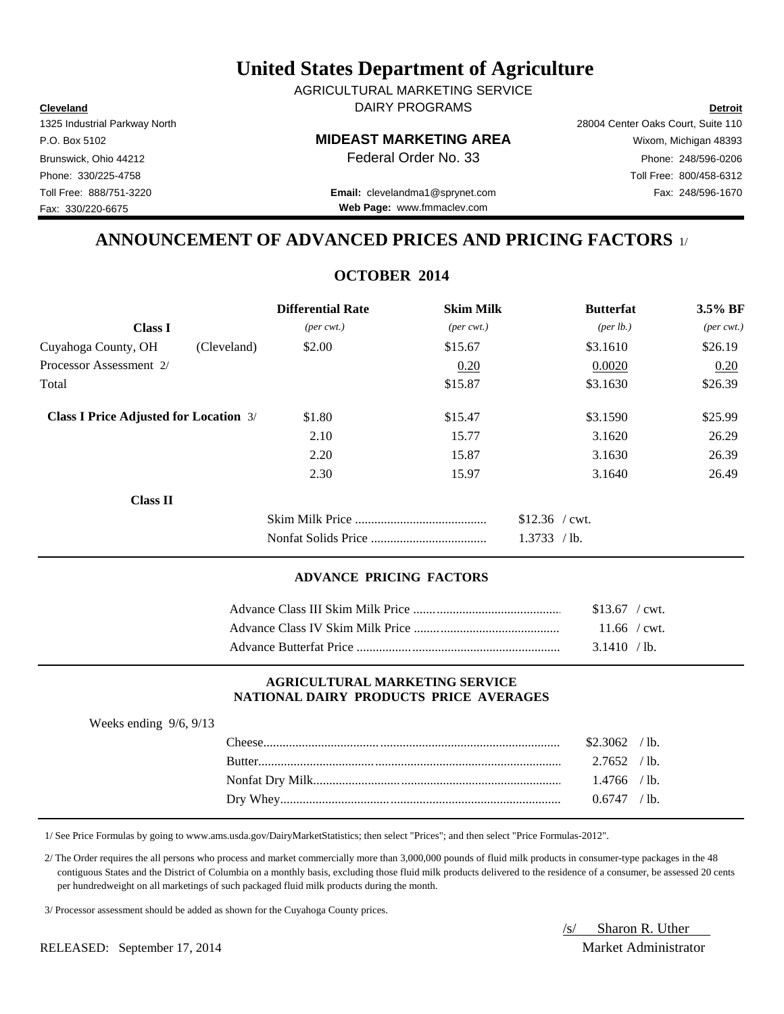**Cleveland Detroit** DAIRY PROGRAMS AGRICULTURAL MARKETING SERVICE

### P.O. Box 5102 **MIDEAST MARKETING AREA** Wixom, Michigan 48393

Toll Free: 888/751-3220 Fax: 248/596-1670 **Email:** clevelandma1@sprynet.com **Web Page:** www.fmmaclev.com

# **ANNOUNCEMENT OF ADVANCED PRICES AND PRICING FACTORS** 1/

### **OCTOBER 2014**

|                                               | <b>Differential Rate</b>    | <b>Skim Milk</b>            | <b>Butterfat</b>                | $3.5\%$ BF                  |
|-----------------------------------------------|-----------------------------|-----------------------------|---------------------------------|-----------------------------|
| <b>Class I</b>                                | $(\text{per} \text{ cwt.})$ | $(\text{per} \text{ cwt.})$ | ${\rm (per \, lb.)}$            | $(\text{per} \text{ cwt.})$ |
| Cuyahoga County, OH<br>(Cleveland)            | \$2.00                      | \$15.67                     | \$3.1610                        | \$26.19                     |
| Processor Assessment 2/                       |                             | 0.20                        | 0.0020                          | 0.20                        |
| Total                                         |                             | \$15.87                     | \$3.1630                        | \$26.39                     |
| <b>Class I Price Adjusted for Location 3/</b> | \$1.80                      | \$15.47                     | \$3.1590                        | \$25.99                     |
|                                               | 2.10                        | 15.77                       | 3.1620                          | 26.29                       |
|                                               | 2.20                        | 15.87                       | 3.1630                          | 26.39                       |
|                                               | 2.30                        | 15.97                       | 3.1640                          | 26.49                       |
| Class II                                      |                             |                             |                                 |                             |
|                                               |                             |                             | $$12.36$ / cwt.<br>1.3733 / lb. |                             |

### **ADVANCE PRICING FACTORS**

| $$13.67$ / cwt. |
|-----------------|
| $11.66$ / cwt.  |
| 3.1410 / lb.    |

### **AGRICULTURAL MARKETING SERVICE NATIONAL DAIRY PRODUCTS PRICE AVERAGES**

| Weeks ending $9/6$ , $9/13$ |                |  |
|-----------------------------|----------------|--|
|                             | $$2.3062$ /lb. |  |
|                             | $2.7652$ /lb.  |  |
|                             | $1.4766$ /lb.  |  |
|                             | $0.6747$ /lb.  |  |
|                             |                |  |

1/ See Price Formulas by going to www.ams.usda.gov/DairyMarketStatistics; then select "Prices"; and then select "Price Formulas-2012".

 2/ The Order requires the all persons who process and market commercially more than 3,000,000 pounds of fluid milk products in consumer-type packages in the 48 contiguous States and the District of Columbia on a monthly basis, excluding those fluid milk products delivered to the residence of a consumer, be assessed 20 cents per hundredweight on all marketings of such packaged fluid milk products during the month.

3/ Processor assessment should be added as shown for the Cuyahoga County prices.

RELEASED: September 17, 2014 Market Administrator

/s/ Sharon R. Uther

1325 Industrial Parkway North 28004 Center Oaks Court, Suite 110 Brunswick, Ohio 44212 **Phone: 248/596-0206 Federal Order No. 33** Phone: 248/596-0206 Phone: 330/225-4758 Toll Free: 800/458-6312 Fax: 330/220-6675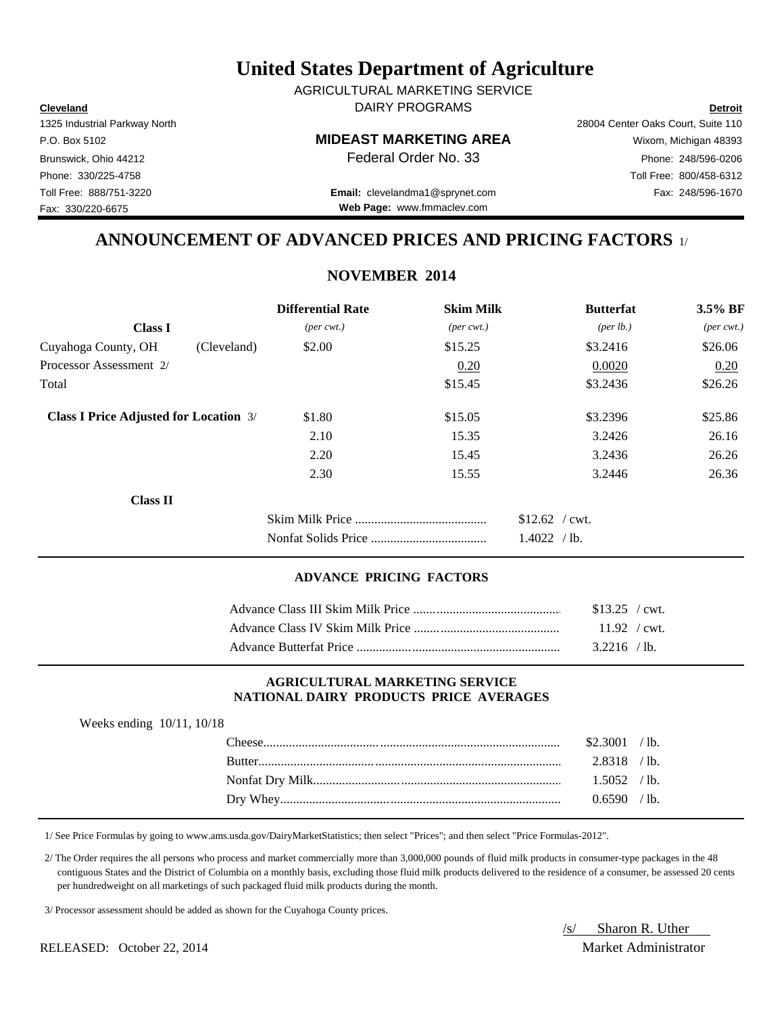**Cleveland Detroit** DAIRY PROGRAMS AGRICULTURAL MARKETING SERVICE

### P.O. Box 5102 **MIDEAST MARKETING AREA** Wixom, Michigan 48393

Toll Free: 888/751-3220 Fax: 248/596-1670 **Email:** clevelandma1@sprynet.com **Web Page:** www.fmmaclev.com

# **ANNOUNCEMENT OF ADVANCED PRICES AND PRICING FACTORS** 1/

### **NOVEMBER 2014**

|                                               |             | <b>Differential Rate</b>    | <b>Skim Milk</b>            | <b>Butterfat</b>     | 3.5% BF                     |
|-----------------------------------------------|-------------|-----------------------------|-----------------------------|----------------------|-----------------------------|
| <b>Class I</b>                                |             | $(\text{per} \text{ cwt.})$ | $(\text{per} \text{ cwt.})$ | ${\rm (per \, lb.)}$ | $(\text{per} \text{ cwt.})$ |
| Cuyahoga County, OH                           | (Cleveland) | \$2.00                      | \$15.25                     | \$3.2416             | \$26.06                     |
| Processor Assessment 2/                       |             |                             | 0.20                        | 0.0020               | 0.20                        |
| Total                                         |             |                             | \$15.45                     | \$3.2436             | \$26.26                     |
| <b>Class I Price Adjusted for Location 3/</b> |             | \$1.80                      | \$15.05                     | \$3.2396             | \$25.86                     |
|                                               |             | 2.10                        | 15.35                       | 3.2426               | 26.16                       |
|                                               |             | 2.20                        | 15.45                       | 3.2436               | 26.26                       |
|                                               |             | 2.30                        | 15.55                       | 3.2446               | 26.36                       |
| <b>Class II</b>                               |             |                             |                             |                      |                             |
|                                               |             |                             |                             | $$12.62$ / cwt.      |                             |
|                                               |             |                             |                             | 1.4022 / lb.         |                             |

### **ADVANCE PRICING FACTORS**

| $$13.25$ / cwt.        |  |
|------------------------|--|
| $11.92 / \text{cwt}$ . |  |
| $3.2216$ /lb.          |  |

### **AGRICULTURAL MARKETING SERVICE NATIONAL DAIRY PRODUCTS PRICE AVERAGES**

| Weeks ending $10/11$ , $10/18$ |  |  |
|--------------------------------|--|--|
|--------------------------------|--|--|

| <b>heer</b>   | \$2.3001 | $^{\prime}$ lb. |
|---------------|----------|-----------------|
| <b>Butter</b> | 2.8318   | $^{\prime}$ lb. |
|               | 1.5052   | $\prime$ lb.    |
| Dry Whey.     | 0.6590-  | $^{\prime}$ lb. |
|               |          |                 |

1/ See Price Formulas by going to www.ams.usda.gov/DairyMarketStatistics; then select "Prices"; and then select "Price Formulas-2012".

 2/ The Order requires the all persons who process and market commercially more than 3,000,000 pounds of fluid milk products in consumer-type packages in the 48 contiguous States and the District of Columbia on a monthly basis, excluding those fluid milk products delivered to the residence of a consumer, be assessed 20 cents per hundredweight on all marketings of such packaged fluid milk products during the month.

3/ Processor assessment should be added as shown for the Cuyahoga County prices.

RELEASED: October 22, 2014 Market Administrator

/s/ Sharon R. Uther

1325 Industrial Parkway North 28004 Center Oaks Court, Suite 110 Brunswick, Ohio 44212 **Phone: 248/596-0206 Federal Order No. 33** Phone: 248/596-0206 Phone: 330/225-4758 Toll Free: 800/458-6312